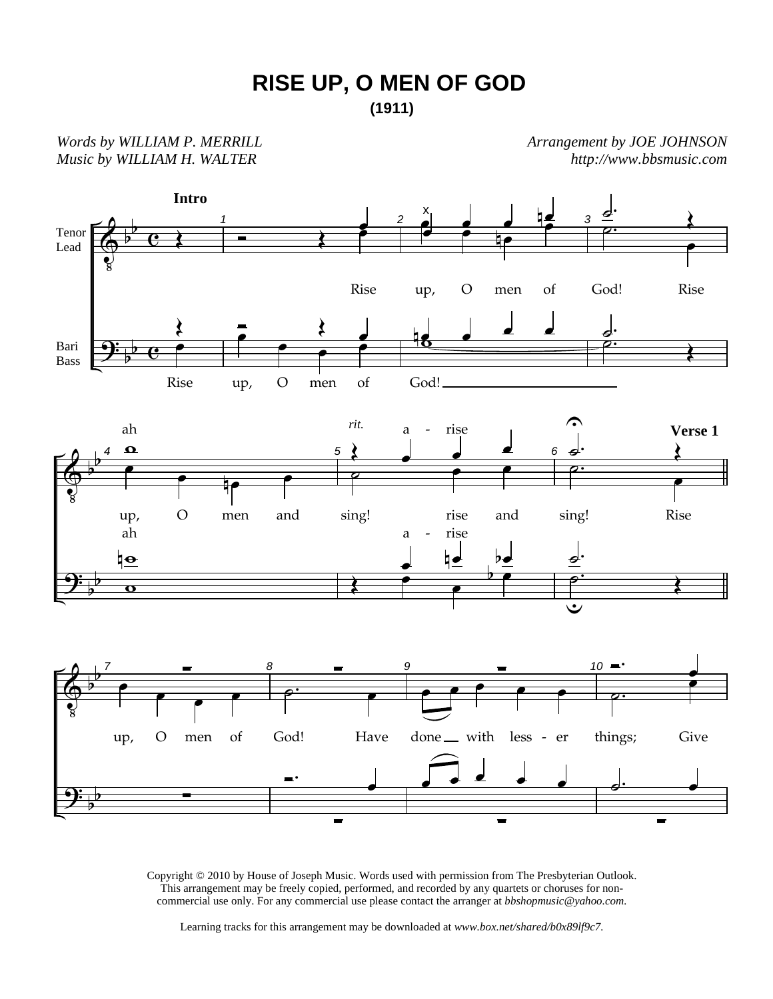

*Words by WILLIAM P. MERRILL Music by WILLIAM H. WALTER* 

*Arrangement by JOE JOHNSON http://www.bbsmusic.com*



Copyright © 2010 by House of Joseph Music. Words used with permission from The Presbyterian Outlook. This arrangement may be freely copied, performed, and recorded by any quartets or choruses for noncommercial use only. For any commercial use please contact the arranger at *bbshopmusic@yahoo.com.*

Learning tracks for this arrangement may be downloaded at *www.box.net/shared/b0x89lf9c7.*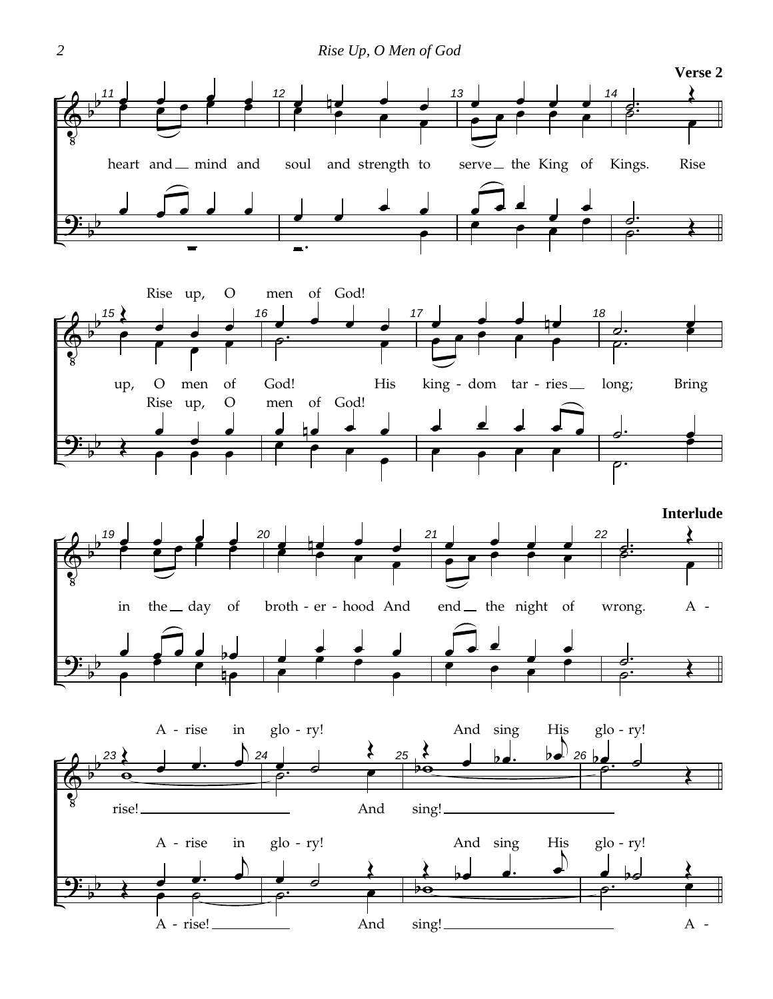



And

sing!

rise!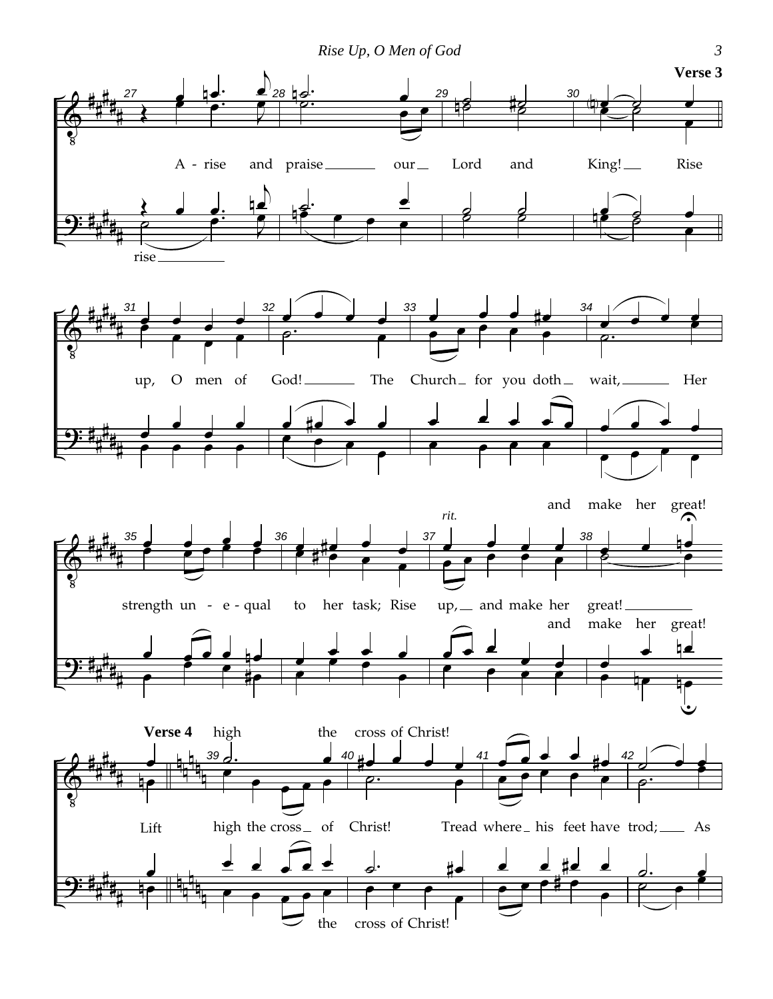*Rise Up, O Men of God 3*